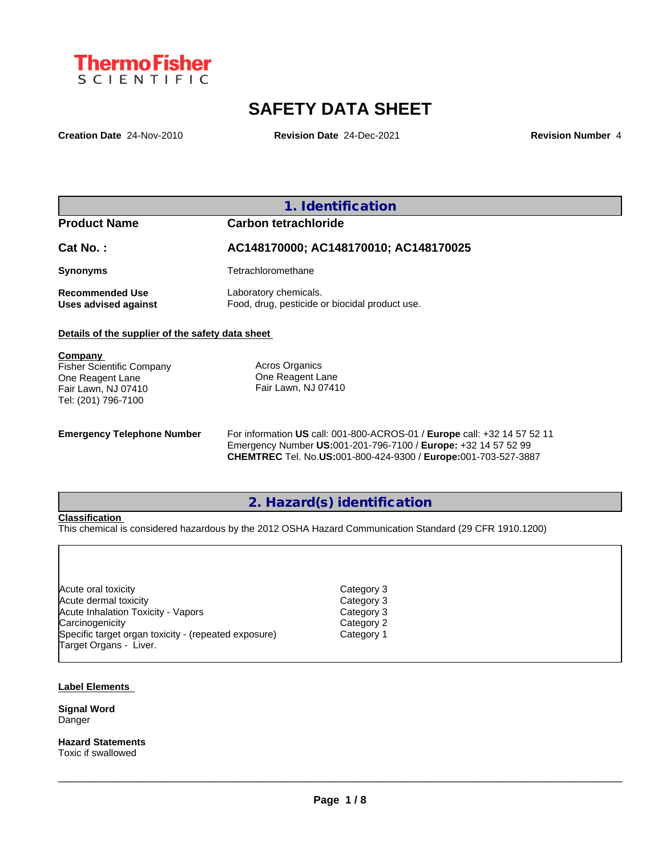

# **SAFETY DATA SHEET**

**Creation Date** 24-Nov-2010 **Revision Date** 24-Dec-2021 **Revision Number** 4

## **1. Identification Product Name Carbon tetrachloride Cat No. : AC148170000; AC148170010; AC148170025 Synonyms** Tetrachloromethane **Recommended Use** Laboratory chemicals.<br> **Uses advised against** Food, drug, pesticide of Food, drug, pesticide or biocidal product use. **Details of the supplier of the safety data sheet Emergency Telephone Number** For information **US** call: 001-800-ACROS-01 / **Europe** call: +32 14 57 52 11 Emergency Number **US:**001-201-796-7100 / **Europe:** +32 14 57 52 99 **CHEMTREC** Tel. No.**US:**001-800-424-9300 / **Europe:**001-703-527-3887 **Company**  Fisher Scientific Company One Reagent Lane Fair Lawn, NJ 07410 Tel: (201) 796-7100 Acros Organics One Reagent Lane Fair Lawn, NJ 07410

# **2. Hazard(s) identification**

## **Classification**

This chemical is considered hazardous by the 2012 OSHA Hazard Communication Standard (29 CFR 1910.1200)

| Acute oral toxicity                                  | Category 3 |
|------------------------------------------------------|------------|
| Acute dermal toxicity                                | Category 3 |
| Acute Inhalation Toxicity - Vapors                   | Category 3 |
| Carcinogenicity                                      | Category 2 |
| Specific target organ toxicity - (repeated exposure) | Category 1 |
| Target Organs - Liver.                               |            |
|                                                      |            |

#### **Label Elements**

**Signal Word** Danger

**Hazard Statements** Toxic if swallowed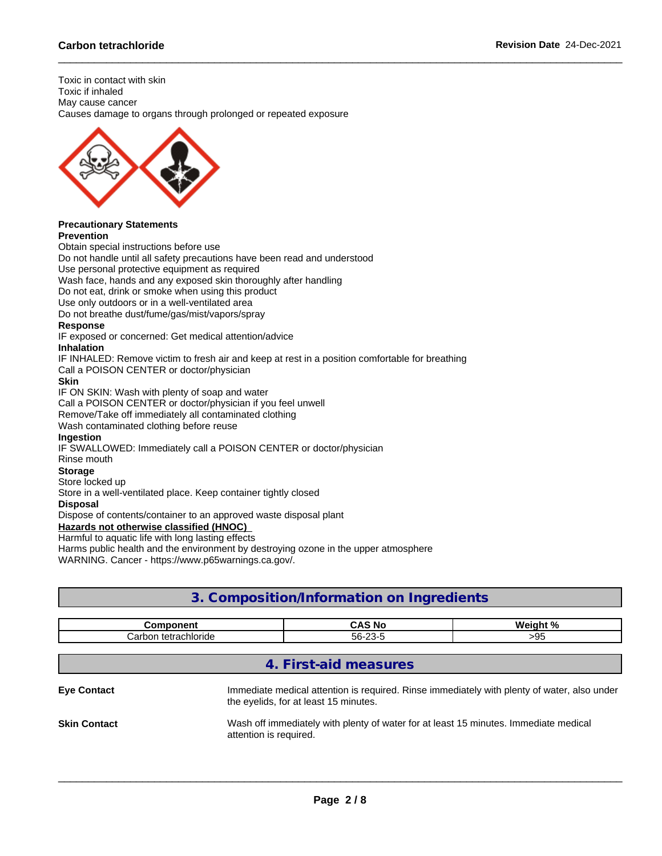Toxic in contact with skin Toxic if inhaled May cause cancer Causes damage to organs through prolonged or repeated exposure



#### **Precautionary Statements Prevention**

Obtain special instructions before use Do not handle until all safety precautions have been read and understood Use personal protective equipment as required Wash face, hands and any exposed skin thoroughly after handling Do not eat, drink or smoke when using this product Use only outdoors or in a well-ventilated area Do not breathe dust/fume/gas/mist/vapors/spray **Response** IF exposed or concerned: Get medical attention/advice **Inhalation** IF INHALED: Remove victim to fresh air and keep at rest in a position comfortable for breathing Call a POISON CENTER or doctor/physician **Skin** IF ON SKIN: Wash with plenty of soap and water Call a POISON CENTER or doctor/physician if you feel unwell Remove/Take off immediately all contaminated clothing Wash contaminated clothing before reuse **Ingestion** IF SWALLOWED: Immediately call a POISON CENTER or doctor/physician Rinse mouth **Storage** Store locked up Store in a well-ventilated place. Keep container tightly closed **Disposal** Dispose of contents/container to an approved waste disposal plant **Hazards not otherwise classified (HNOC)**

Harmful to aquatic life with long lasting effects

Harms public health and the environment by destroying ozone in the upper atmosphere

WARNING. Cancer - https://www.p65warnings.ca.gov/.

# **3. Composition/Information on Ingredients**

| ----------                                        | -<br>N0<br>w                  | <b>Wainh</b><br>1. N J |
|---------------------------------------------------|-------------------------------|------------------------|
| tetrachloride<br>$\sim$ nhon<br>71 I JI JI<br>ے ر | $\sim$<br>$\sim$<br>56-<br>-- | 14<br>ึ                |

## **4. First-aid measures**

**Eye Contact Immediate medical attention is required. Rinse immediately with plenty of water, also under** the eyelids, for at least 15 minutes.

 $\_$  ,  $\_$  ,  $\_$  ,  $\_$  ,  $\_$  ,  $\_$  ,  $\_$  ,  $\_$  ,  $\_$  ,  $\_$  ,  $\_$  ,  $\_$  ,  $\_$  ,  $\_$  ,  $\_$  ,  $\_$  ,  $\_$  ,  $\_$  ,  $\_$  ,  $\_$  ,  $\_$  ,  $\_$  ,  $\_$  ,  $\_$  ,  $\_$  ,  $\_$  ,  $\_$  ,  $\_$  ,  $\_$  ,  $\_$  ,  $\_$  ,  $\_$  ,  $\_$  ,  $\_$  ,  $\_$  ,  $\_$  ,  $\_$  ,

**Skin Contact** Wash off immediately with plenty of water for at least 15 minutes. Immediate medical attention is required.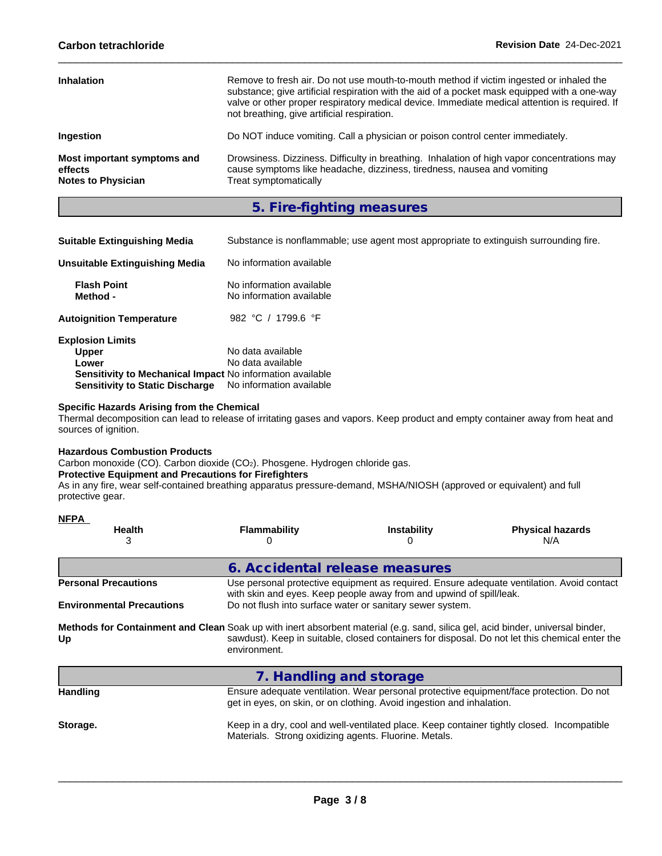| <b>Inhalation</b>                                                   | Remove to fresh air. Do not use mouth-to-mouth method if victim ingested or inhaled the<br>substance; give artificial respiration with the aid of a pocket mask equipped with a one-way<br>valve or other proper respiratory medical device. Immediate medical attention is required. If<br>not breathing, give artificial respiration. |
|---------------------------------------------------------------------|-----------------------------------------------------------------------------------------------------------------------------------------------------------------------------------------------------------------------------------------------------------------------------------------------------------------------------------------|
| <b>Ingestion</b>                                                    | Do NOT induce vomiting. Call a physician or poison control center immediately.                                                                                                                                                                                                                                                          |
| Most important symptoms and<br>effects<br><b>Notes to Physician</b> | Drowsiness. Dizziness. Difficulty in breathing. Inhalation of high vapor concentrations may<br>cause symptoms like headache, dizziness, tiredness, nausea and vomiting<br>Treat symptomatically                                                                                                                                         |

**5. Fire-fighting measures**

| <b>Suitable Extinguishing Media</b>                       | Substance is nonflammable; use agent most appropriate to extinguish surrounding fire. |
|-----------------------------------------------------------|---------------------------------------------------------------------------------------|
| Unsuitable Extinguishing Media                            | No information available                                                              |
| <b>Flash Point</b><br>Method -                            | No information available<br>No information available                                  |
| <b>Autoignition Temperature</b>                           | 982 °C / 1799.6 °F                                                                    |
| <b>Explosion Limits</b>                                   |                                                                                       |
| <b>Upper</b>                                              | No data available                                                                     |
| Lower                                                     | No data available                                                                     |
| Sensitivity to Mechanical Impact No information available |                                                                                       |
| <b>Sensitivity to Static Discharge</b>                    | No information available                                                              |

## **Specific Hazards Arising from the Chemical**

Thermal decomposition can lead to release of irritating gases and vapors. Keep product and empty container away from heat and sources of ignition.

## **Hazardous Combustion Products**

Carbon monoxide (CO). Carbon dioxide (CO<sub>2</sub>). Phosgene. Hydrogen chloride gas.

## **Protective Equipment and Precautions for Firefighters**

As in any fire, wear self-contained breathing apparatus pressure-demand, MSHA/NIOSH (approved or equivalent) and full protective gear.

| <b>NFPA</b>                      |                                                                                                                                                     |                                                                                                                                                                  |                                                                                                |  |  |  |
|----------------------------------|-----------------------------------------------------------------------------------------------------------------------------------------------------|------------------------------------------------------------------------------------------------------------------------------------------------------------------|------------------------------------------------------------------------------------------------|--|--|--|
| <b>Health</b><br>3               | Flammability                                                                                                                                        | <b>Instability</b><br>0                                                                                                                                          | <b>Physical hazards</b><br>N/A                                                                 |  |  |  |
|                                  |                                                                                                                                                     |                                                                                                                                                                  |                                                                                                |  |  |  |
|                                  | 6. Accidental release measures                                                                                                                      |                                                                                                                                                                  |                                                                                                |  |  |  |
| <b>Personal Precautions</b>      |                                                                                                                                                     | Use personal protective equipment as required. Ensure adequate ventilation. Avoid contact<br>with skin and eyes. Keep people away from and upwind of spill/leak. |                                                                                                |  |  |  |
| <b>Environmental Precautions</b> |                                                                                                                                                     | Do not flush into surface water or sanitary sewer system.                                                                                                        |                                                                                                |  |  |  |
| Up                               | Methods for Containment and Clean Soak up with inert absorbent material (e.g. sand, silica gel, acid binder, universal binder,<br>environment.      |                                                                                                                                                                  | sawdust). Keep in suitable, closed containers for disposal. Do not let this chemical enter the |  |  |  |
|                                  | 7. Handling and storage                                                                                                                             |                                                                                                                                                                  |                                                                                                |  |  |  |
| <b>Handling</b>                  |                                                                                                                                                     | Ensure adequate ventilation. Wear personal protective equipment/face protection. Do not<br>get in eyes, on skin, or on clothing. Avoid ingestion and inhalation. |                                                                                                |  |  |  |
| Storage.                         | Keep in a dry, cool and well-ventilated place. Keep container tightly closed. Incompatible<br>Materials. Strong oxidizing agents. Fluorine. Metals. |                                                                                                                                                                  |                                                                                                |  |  |  |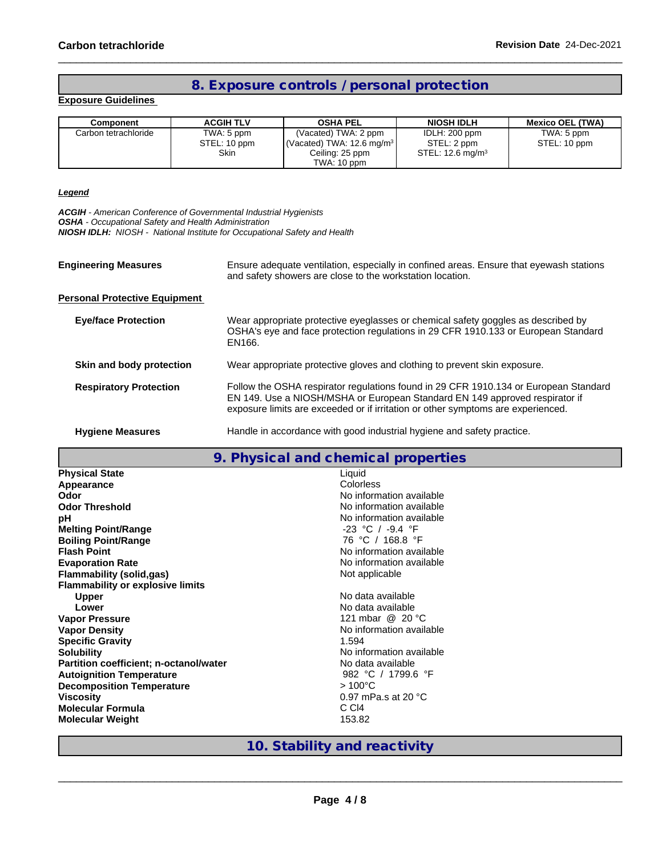# **8. Exposure controls / personal protection**

## **Exposure Guidelines**

| Component            | <b>ACGIH TLV</b> | <b>OSHA PEL</b>                                 | <b>NIOSH IDLH</b>            | <b>Mexico OEL (TWA)</b> |
|----------------------|------------------|-------------------------------------------------|------------------------------|-------------------------|
| Carbon tetrachloride | TWA: 5 ppm       | (Vacated) TWA: 2 ppm                            | IDLH: 200 ppm                | TWA: 5 ppm              |
|                      | STEL: 10 ppm     | $\sqrt{(Vacated) TWA}$ : 12.6 mg/m <sup>3</sup> | STEL: 2 ppm                  | STEL: 10 ppm            |
|                      | Skin             | Ceiling: 25 ppm                                 | STEL: 12.6 mg/m <sup>3</sup> |                         |
|                      |                  | TWA: 10 ppm                                     |                              |                         |

### *Legend*

*ACGIH - American Conference of Governmental Industrial Hygienists*

*OSHA - Occupational Safety and Health Administration*

*NIOSH IDLH: NIOSH - National Institute for Occupational Safety and Health*

| <b>Engineering Measures</b>          | Ensure adequate ventilation, especially in confined areas. Ensure that eyewash stations<br>and safety showers are close to the workstation location.                                                                                                    |
|--------------------------------------|---------------------------------------------------------------------------------------------------------------------------------------------------------------------------------------------------------------------------------------------------------|
| <b>Personal Protective Equipment</b> |                                                                                                                                                                                                                                                         |
| <b>Eye/face Protection</b>           | Wear appropriate protective eyeglasses or chemical safety goggles as described by<br>OSHA's eye and face protection regulations in 29 CFR 1910.133 or European Standard<br>EN166.                                                                       |
| Skin and body protection             | Wear appropriate protective gloves and clothing to prevent skin exposure.                                                                                                                                                                               |
| <b>Respiratory Protection</b>        | Follow the OSHA respirator regulations found in 29 CFR 1910.134 or European Standard<br>EN 149. Use a NIOSH/MSHA or European Standard EN 149 approved respirator if<br>exposure limits are exceeded or if irritation or other symptoms are experienced. |
| <b>Hygiene Measures</b>              | Handle in accordance with good industrial hygiene and safety practice.                                                                                                                                                                                  |

## **9. Physical and chemical properties**

| <b>Physical State</b>                   | Liquid                        |
|-----------------------------------------|-------------------------------|
| Appearance                              | Colorless                     |
| Odor                                    | No information available      |
| <b>Odor Threshold</b>                   | No information available      |
| pH                                      | No information available      |
| <b>Melting Point/Range</b>              | -23 °C / -9.4 °F              |
| <b>Boiling Point/Range</b>              | 76 °C / 168.8 °F              |
| <b>Flash Point</b>                      | No information available      |
| <b>Evaporation Rate</b>                 | No information available      |
| Flammability (solid,gas)                | Not applicable                |
| <b>Flammability or explosive limits</b> |                               |
| <b>Upper</b>                            | No data available             |
| Lower                                   | No data available             |
| <b>Vapor Pressure</b>                   | 121 mbar @ 20 °C              |
| <b>Vapor Density</b>                    | No information available      |
| <b>Specific Gravity</b>                 | 1.594                         |
| <b>Solubility</b>                       | No information available      |
| Partition coefficient; n-octanol/water  | No data available             |
| <b>Autoignition Temperature</b>         | 982 °C / 1799.6 °F            |
| <b>Decomposition Temperature</b>        | $>100^{\circ}$ C              |
| <b>Viscosity</b>                        | 0.97 mPa.s at 20 $^{\circ}$ C |
| <b>Molecular Formula</b>                | C C <sub>I4</sub>             |
| <b>Molecular Weight</b>                 | 153.82                        |
|                                         |                               |

## **10. Stability and reactivity**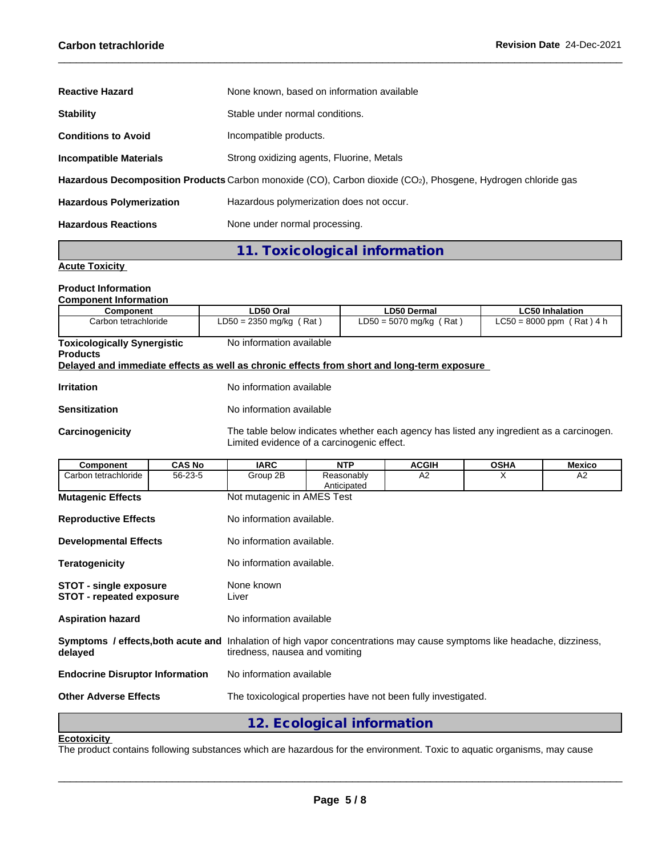| <b>Reactive Hazard</b>          | None known, based on information available                                                                   |
|---------------------------------|--------------------------------------------------------------------------------------------------------------|
| <b>Stability</b>                | Stable under normal conditions.                                                                              |
| <b>Conditions to Avoid</b>      | Incompatible products.                                                                                       |
| <b>Incompatible Materials</b>   | Strong oxidizing agents, Fluorine, Metals                                                                    |
|                                 | Hazardous Decomposition Products Carbon monoxide (CO), Carbon dioxide (CO2), Phosgene, Hydrogen chloride gas |
| <b>Hazardous Polymerization</b> | Hazardous polymerization does not occur.                                                                     |
| <b>Hazardous Reactions</b>      | None under normal processing.                                                                                |

**11. Toxicological information**

## **Acute Toxicity**

#### **Product Information Component Information**

| <b>COMPONEM MONTMANDI</b>                                                                  |                           |                           |                             |  |  |  |
|--------------------------------------------------------------------------------------------|---------------------------|---------------------------|-----------------------------|--|--|--|
| Component                                                                                  | LD50 Oral                 | <b>LD50 Dermal</b>        | <b>LC50 Inhalation</b>      |  |  |  |
| Carbon tetrachloride                                                                       | $LD50 = 2350$ mg/kg (Rat) | $LD50 = 5070$ mg/kg (Rat) | $LC50 = 8000$ ppm (Rat) 4 h |  |  |  |
| <b>Toxicologically Synergistic</b>                                                         | No information available  |                           |                             |  |  |  |
| <b>Products</b>                                                                            |                           |                           |                             |  |  |  |
|                                                                                            |                           |                           |                             |  |  |  |
| Delayed and immediate effects as well as chronic effects from short and long-term exposure |                           |                           |                             |  |  |  |

| <b>Irritation</b>    | No information available |
|----------------------|--------------------------|
| <b>Sensitization</b> | No information available |

Carcinogenicity The table below indicates whether each agency has listed any ingredient as a carcinogen. Limited evidence of a carcinogenic effect.

| Component                                                        | <b>CAS No</b> | <b>IARC</b>                                                                                                                                                      | <b>NTP</b>                                                     | <b>ACGIH</b> | <b>OSHA</b> | <b>Mexico</b> |  |  |
|------------------------------------------------------------------|---------------|------------------------------------------------------------------------------------------------------------------------------------------------------------------|----------------------------------------------------------------|--------------|-------------|---------------|--|--|
| Carbon tetrachloride                                             | 56-23-5       | Group 2B                                                                                                                                                         | Reasonably<br>Anticipated                                      | A2           | X           | A2            |  |  |
| <b>Mutagenic Effects</b>                                         |               | Not mutagenic in AMES Test                                                                                                                                       |                                                                |              |             |               |  |  |
| <b>Reproductive Effects</b>                                      |               | No information available.                                                                                                                                        |                                                                |              |             |               |  |  |
| <b>Developmental Effects</b>                                     |               |                                                                                                                                                                  | No information available.                                      |              |             |               |  |  |
| <b>Teratogenicity</b>                                            |               |                                                                                                                                                                  | No information available.                                      |              |             |               |  |  |
| <b>STOT - single exposure</b><br><b>STOT - repeated exposure</b> |               | None known<br>Liver                                                                                                                                              |                                                                |              |             |               |  |  |
| <b>Aspiration hazard</b>                                         |               | No information available                                                                                                                                         |                                                                |              |             |               |  |  |
| delayed                                                          |               | <b>Symptoms / effects, both acute and</b> Inhalation of high vapor concentrations may cause symptoms like headache, dizziness,<br>tiredness, nausea and vomiting |                                                                |              |             |               |  |  |
| <b>Endocrine Disruptor Information</b>                           |               | No information available                                                                                                                                         |                                                                |              |             |               |  |  |
| <b>Other Adverse Effects</b>                                     |               |                                                                                                                                                                  | The toxicological properties have not been fully investigated. |              |             |               |  |  |
|                                                                  |               |                                                                                                                                                                  | 12. Ecological information                                     |              |             |               |  |  |

## **Ecotoxicity**

The product contains following substances which are hazardous for the environment. Toxic to aquatic organisms, may cause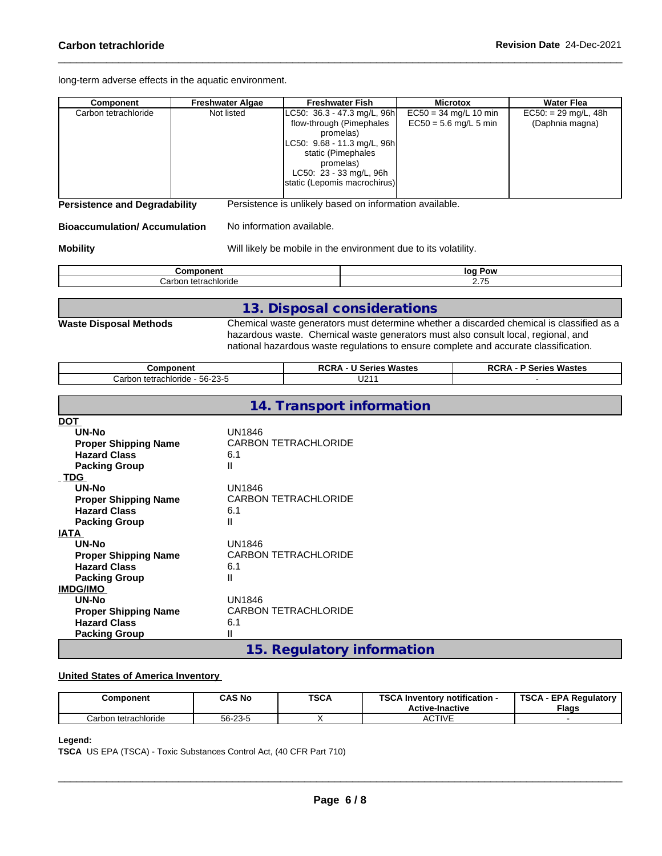long-term adverse effects in the aquatic environment.

| Component                                                                                                         | <b>Freshwater Algae</b>        | <b>Freshwater Fish</b>                                                                                                                                                                                     | <b>Microtox</b>                                    | <b>Water Flea</b>                                                                        |  |
|-------------------------------------------------------------------------------------------------------------------|--------------------------------|------------------------------------------------------------------------------------------------------------------------------------------------------------------------------------------------------------|----------------------------------------------------|------------------------------------------------------------------------------------------|--|
| Carbon tetrachloride                                                                                              | Not listed                     | LC50: 36.3 - 47.3 mg/L, 96h<br>flow-through (Pimephales<br>promelas)<br>LC50: 9.68 - 11.3 mg/L, 96h<br>static (Pimephales<br>promelas)<br>LC50: 23 - 33 mg/L, 96h<br>static (Lepomis macrochirus)          | $EC50 = 34$ mg/L 10 min<br>$EC50 = 5.6$ mg/L 5 min | $EC50: = 29$ mg/L, 48h<br>(Daphnia magna)                                                |  |
| <b>Persistence and Degradability</b>                                                                              |                                | Persistence is unlikely based on information available.                                                                                                                                                    |                                                    |                                                                                          |  |
| <b>Bioaccumulation/Accumulation</b>                                                                               |                                | No information available.                                                                                                                                                                                  |                                                    |                                                                                          |  |
| <b>Mobility</b>                                                                                                   |                                | Will likely be mobile in the environment due to its volatility.                                                                                                                                            |                                                    |                                                                                          |  |
|                                                                                                                   | Component                      |                                                                                                                                                                                                            | log Pow                                            |                                                                                          |  |
|                                                                                                                   | Carbon tetrachloride           |                                                                                                                                                                                                            | 2.75                                               |                                                                                          |  |
|                                                                                                                   |                                |                                                                                                                                                                                                            |                                                    |                                                                                          |  |
| <b>Waste Disposal Methods</b>                                                                                     |                                | 13. Disposal considerations                                                                                                                                                                                |                                                    | Chemical waste generators must determine whether a discarded chemical is classified as a |  |
|                                                                                                                   | <b>Component</b>               | hazardous waste. Chemical waste generators must also consult local, regional, and<br>national hazardous waste regulations to ensure complete and accurate classification.<br><b>RCRA - U Series Wastes</b> |                                                    | <b>RCRA - P Series Wastes</b>                                                            |  |
|                                                                                                                   | Carbon tetrachloride - 56-23-5 | U211                                                                                                                                                                                                       |                                                    |                                                                                          |  |
| DOT                                                                                                               |                                | 14. Transport information                                                                                                                                                                                  |                                                    |                                                                                          |  |
| <b>UN-No</b><br><b>Proper Shipping Name</b><br><b>Hazard Class</b><br><b>Packing Group</b>                        | <b>UN1846</b><br>6.1<br>Ш      | <b>CARBON TETRACHLORIDE</b>                                                                                                                                                                                |                                                    |                                                                                          |  |
| _TDG<br><b>UN-No</b><br><b>Proper Shipping Name</b><br><b>Hazard Class</b><br><b>Packing Group</b><br><b>IATA</b> | UN1846<br>6.1<br>Ш             | <b>CARBON TETRACHLORIDE</b>                                                                                                                                                                                |                                                    |                                                                                          |  |
| UN-No<br><b>Proper Shipping Name</b><br><b>Hazard Class</b><br><b>Packing Group</b><br><b>IMDG/IMO</b>            | UN1846<br>6.1<br>$\mathbf{I}$  | <b>CARBON TETRACHLORIDE</b>                                                                                                                                                                                |                                                    |                                                                                          |  |
| <b>UN-No</b><br><b>Proper Shipping Name</b><br><b>Hazard Class</b><br>Packing Group                               | UN1846<br>6.1<br>Ш             | <b>CARBON TETRACHLORIDE</b>                                                                                                                                                                                |                                                    |                                                                                          |  |

**15. Regulatory information**

## **United States of America Inventory**

| Component            | <b>CAS No</b> | <b>TSCA</b> | TOO AL<br><b>∖ Inventorv notification -</b><br>our<br><b>Active-Inactive</b> | <b>TSCA</b><br>A - EPA Requiatory L<br><b>Flags</b> |
|----------------------|---------------|-------------|------------------------------------------------------------------------------|-----------------------------------------------------|
| Carbon tetrachloride | 56-23-5       |             | CTIVF<br>89.IVL                                                              |                                                     |

## **Legend:**

**TSCA** US EPA (TSCA) - Toxic Substances Control Act, (40 CFR Part 710)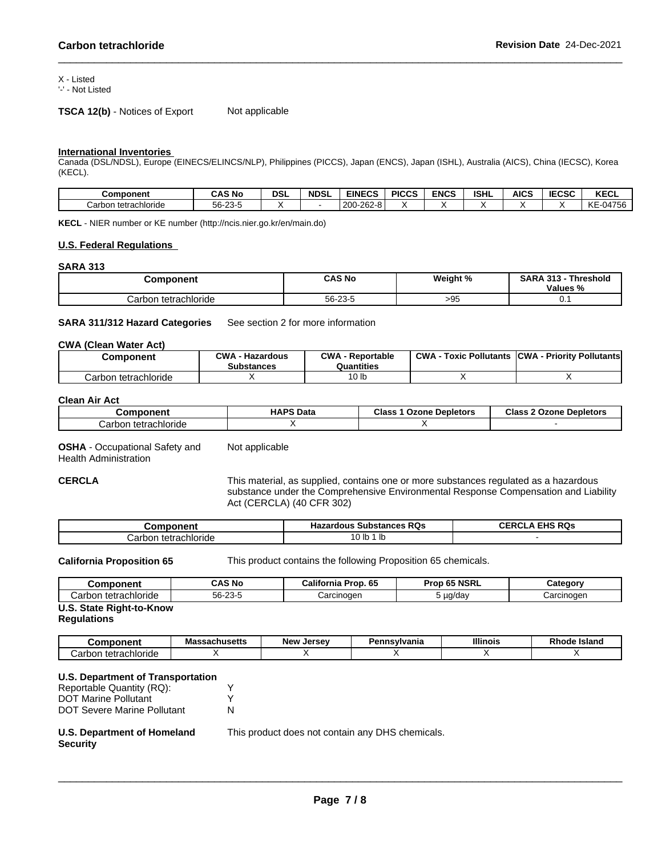## X - Listed

'-' - Not Listed

**TSCA 12(b)** - Notices of Export Not applicable

### **International Inventories**

Canada (DSL/NDSL), Europe (EINECS/ELINCS/NLP), Philippines (PICCS), Japan (ENCS), Japan (ISHL), Australia (AICS), China (IECSC), Korea (KECL).

| <b>Component</b>        | <b>CAS No</b> | <b>DSL</b> | <b>NDSL</b> | <b>EINECS</b>       | <b>PICCS</b> | ENCS | <b>ISHL</b> | AICS | <b>IECSC</b> | <b>KECL</b>           |
|-------------------------|---------------|------------|-------------|---------------------|--------------|------|-------------|------|--------------|-----------------------|
| Carbor<br>tetrachloride | $56 - 23 - 5$ |            |             | 200-262<br>$.2 - 8$ |              |      |             |      |              | KE<br>0.1756<br>.JU+7 |

**KECL** - NIER number or KE number (http://ncis.nier.go.kr/en/main.do)

#### **U.S. Federal Regulations**

**SARA 313**

| omponent                     | CAS No  | Weight %<br>۰. | <b>SARA</b><br>AA<br><b>Threshold</b><br>Values 9<br>$\sim$<br>70 |
|------------------------------|---------|----------------|-------------------------------------------------------------------|
| Carbon tetrachloride<br>تناص | 56-23-5 | >95            | . v.                                                              |

**SARA 311/312 Hazard Categories** See section 2 for more information

#### **CWA** (Clean Water Act)

| Component            | <b>CWA - Hazardous</b><br><b>Substances</b> | CWA<br>- Reportable<br>Quantities | <b>CWA</b><br>: Pollutants<br>Toxic | <b>ICWA</b><br>- Prioritv Pollutantsl |
|----------------------|---------------------------------------------|-----------------------------------|-------------------------------------|---------------------------------------|
| Carbon tetrachloride |                                             | ∣0 lb                             |                                     |                                       |

## **Clean Air Act**

| Component                | <b>HAPS Data</b> | <b>Class</b><br>Ozone Depletors | <b>Class 2 Ozone Depletors</b> |
|--------------------------|------------------|---------------------------------|--------------------------------|
| tetrachloride<br>شarbon. |                  |                                 |                                |

**OSHA** - Occupational Safety and Health Administration Not applicable

**CERCLA** This material, as supplied, contains one or more substances regulated as a hazardous substance under the Comprehensive Environmental Response Compensation and Liability Act (CERCLA) (40 CFR 302)

| ---------<br>⊶mmس                    | <b>Substances RQs</b><br>Hazardous<br>$\sim$ | FIBOR<br>. RUS<br>н. |
|--------------------------------------|----------------------------------------------|----------------------|
| ∟tetrachloride<br>. J. J<br>$. \n11$ | $\sim$<br><b>U</b> IL<br>.                   |                      |

**California Proposition 65** This product contains the following Proposition 65 chemicals.

| こomponent                   | <b>CAS No</b> | .<br>Prop. 65<br>California | Prop 65 NSRL | ategoryٽ   |
|-----------------------------|---------------|-----------------------------|--------------|------------|
| ⊧tetrachloride<br>⊶arbon ب  | 56-23-5       | Carcinogen                  | uq/day       | Carcinogen |
| 11 C<br>State Dight_to_Know |               |                             |              |            |

## **U.S. State Right-to-Know**

**Regulations**

| าeni<br>Λn                                      | Massachusetts | New<br>. Jersev | 'ennsvlvania<br>הכ | <b>Illinois</b> | <b>DI</b><br><b>Island</b><br>knoae |
|-------------------------------------------------|---------------|-----------------|--------------------|-----------------|-------------------------------------|
| hloride<br>$-1$<br>.arh<br>տա<br>ப<br>$\ddotsc$ |               |                 |                    |                 |                                     |

## **U.S. Department of Transportation**

Reportable Quantity (RQ): Y DOT Marine Pollutant V DOT Severe Marine Pollutant N

### **U.S. Department of Homeland Security**

This product does not contain any DHS chemicals.